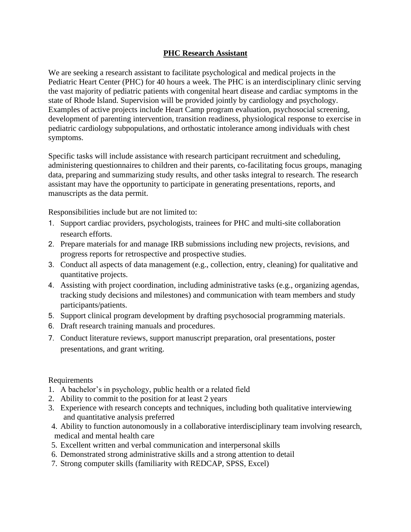## **PHC Research Assistant**

We are seeking a research assistant to facilitate psychological and medical projects in the Pediatric Heart Center (PHC) for 40 hours a week. The PHC is an interdisciplinary clinic serving the vast majority of pediatric patients with congenital heart disease and cardiac symptoms in the state of Rhode Island. Supervision will be provided jointly by cardiology and psychology. Examples of active projects include Heart Camp program evaluation, psychosocial screening, development of parenting intervention, transition readiness, physiological response to exercise in pediatric cardiology subpopulations, and orthostatic intolerance among individuals with chest symptoms.

Specific tasks will include assistance with research participant recruitment and scheduling, administering questionnaires to children and their parents, co-facilitating focus groups, managing data, preparing and summarizing study results, and other tasks integral to research. The research assistant may have the opportunity to participate in generating presentations, reports, and manuscripts as the data permit.

Responsibilities include but are not limited to:

- 1. Support cardiac providers, psychologists, trainees for PHC and multi-site collaboration research efforts.
- 2. Prepare materials for and manage IRB submissions including new projects, revisions, and progress reports for retrospective and prospective studies.
- 3. Conduct all aspects of data management (e.g., collection, entry, cleaning) for qualitative and quantitative projects.
- 4. Assisting with project coordination, including administrative tasks (e.g., organizing agendas, tracking study decisions and milestones) and communication with team members and study participants/patients.
- 5. Support clinical program development by drafting psychosocial programming materials.
- 6. Draft research training manuals and procedures.
- 7. Conduct literature reviews, support manuscript preparation, oral presentations, poster presentations, and grant writing.

## Requirements

- 1. A bachelor's in psychology, public health or a related field
- 2. Ability to commit to the position for at least 2 years
- 3. Experience with research concepts and techniques, including both qualitative interviewing and quantitative analysis preferred
- 4. Ability to function autonomously in a collaborative interdisciplinary team involving research, medical and mental health care
- 5. Excellent written and verbal communication and interpersonal skills
- 6. Demonstrated strong administrative skills and a strong attention to detail
- 7. Strong computer skills (familiarity with REDCAP, SPSS, Excel)